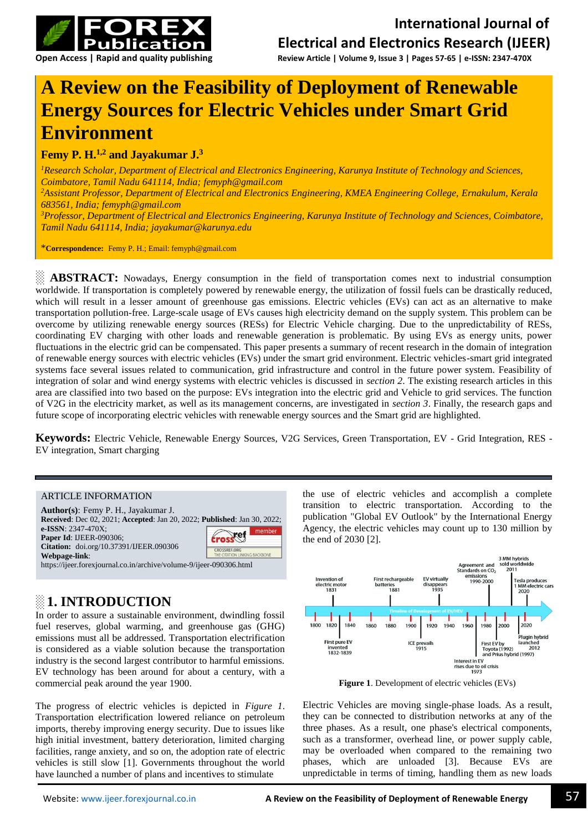

# **A Review on the Feasibility of Deployment of Renewable Energy Sources for Electric Vehicles under Smart Grid Environment**

## **Femy P. H.1,2 and Jayakumar J.<sup>3</sup>**

*<sup>1</sup>Research Scholar, Department of Electrical and Electronics Engineering, Karunya Institute of Technology and Sciences, Coimbatore, Tamil Nadu 641114, India; [femyph@gmail.com](mailto:femyph@gmail.com) <sup>2</sup>Assistant Professor, Department of Electrical and Electronics Engineering, KMEA Engineering College, Ernakulum, Kerala 683561, India; femyph@gmail.com <sup>3</sup>Professor, Department of Electrical and Electronics Engineering, Karunya Institute of Technology and Sciences, Coimbatore, Tamil Nadu 641114, India; jayakumar@karunya.edu*

\***Correspondence:** Femy P. H.; Email: femyph@gmail.com

**ABSTRACT:** Nowadays, Energy consumption in the field of transportation comes next to industrial consumption worldwide. If transportation is completely powered by renewable energy, the utilization of fossil fuels can be drastically reduced, which will result in a lesser amount of greenhouse gas emissions. Electric vehicles (EVs) can act as an alternative to make transportation pollution-free. Large-scale usage of EVs causes high electricity demand on the supply system. This problem can be overcome by utilizing renewable energy sources (RESs) for Electric Vehicle charging. Due to the unpredictability of RESs, coordinating EV charging with other loads and renewable generation is problematic. By using EVs as energy units, power fluctuations in the electric grid can be compensated. This paper presents a summary of recent research in the domain of integration of renewable energy sources with electric vehicles (EVs) under the smart grid environment. Electric vehicles-smart grid integrated systems face several issues related to communication, grid infrastructure and control in the future power system. Feasibility of integration of solar and wind energy systems with electric vehicles is discussed in *section 2*. The existing research articles in this area are classified into two based on the purpose: EVs integration into the electric grid and Vehicle to grid services. The function of V2G in the electricity market, as well as its management concerns, are investigated in *section 3*. Finally, the research gaps and future scope of incorporating electric vehicles with renewable energy sources and the Smart grid are highlighted.

**Keywords:** Electric Vehicle, Renewable Energy Sources, V2G Services, Green Transportation, EV - Grid Integration, RES - EV integration, Smart charging

#### ARTICLE INFORMATION

| <b>Author(s):</b> Femy P. H., Jayakumar J.                                                                       |                                               |  |  |  |
|------------------------------------------------------------------------------------------------------------------|-----------------------------------------------|--|--|--|
| <b>Received:</b> Dec 02, 2021; Accepted: Jan 20, 2022; Published: Jan 30, 2022;                                  |                                               |  |  |  |
| e-ISSN: 2347-470X;<br><b>Paper Id: IJEER-090306;</b><br>Citation: doi.org/10.37391/IJEER.090306<br>Webpage-link: | member<br>crosset                             |  |  |  |
|                                                                                                                  | CROSSREE ORG<br>THE CITATION LINKING BACKBONE |  |  |  |
| https://ijeer.forexjournal.co.in/archive/volume-9/ijeer-090306.html                                              |                                               |  |  |  |

## **░ 1. INTRODUCTION**

In order to assure a sustainable environment, dwindling fossil fuel reserves, global warming, and greenhouse gas (GHG) emissions must all be addressed. Transportation electrification is considered as a viable solution because the transportation industry is the second largest contributor to harmful emissions. EV technology has been around for about a century, with a commercial peak around the year 1900.

The progress of electric vehicles is depicted in *Figure 1*. Transportation electrification lowered reliance on petroleum imports, thereby improving energy security. Due to issues like high initial investment, battery deterioration, limited charging facilities, range anxiety, and so on, the adoption rate of electric vehicles is still slow [1]. Governments throughout the world have launched a number of plans and incentives to stimulate

the use of electric vehicles and accomplish a complete transition to electric transportation. According to the publication "Global EV Outlook" by the International Energy Agency, the electric vehicles may count up to 130 million by the end of 2030 [2].



**Figure 1**. Development of electric vehicles (EVs)

Electric Vehicles are moving single-phase loads. As a result, they can be connected to distribution networks at any of the three phases. As a result, one phase's electrical components, such as a transformer, overhead line, or power supply cable, may be overloaded when compared to the remaining two phases, which are unloaded [3]. Because EVs are unpredictable in terms of timing, handling them as new loads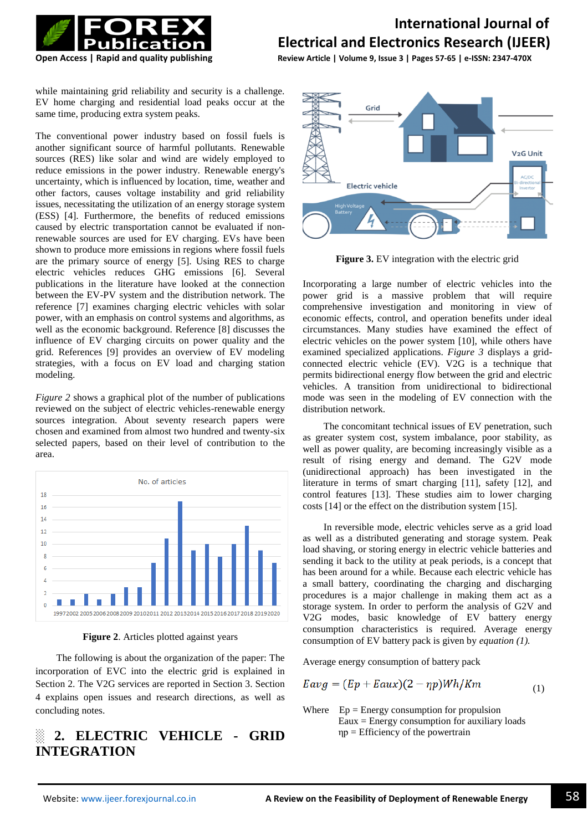

**Open Access | Rapid and quality publishing Review Article | Volume 9, Issue 3 | Pages 57-65 | e-ISSN: 2347-470X**

while maintaining grid reliability and security is a challenge. EV home charging and residential load peaks occur at the same time, producing extra system peaks.

The conventional power industry based on fossil fuels is another significant source of harmful pollutants. Renewable sources (RES) like solar and wind are widely employed to reduce emissions in the power industry. Renewable energy's uncertainty, which is influenced by location, time, weather and other factors, causes voltage instability and grid reliability issues, necessitating the utilization of an energy storage system (ESS) [4]. Furthermore, the benefits of reduced emissions caused by electric transportation cannot be evaluated if nonrenewable sources are used for EV charging. EVs have been shown to produce more emissions in regions where fossil fuels are the primary source of energy [5]. Using RES to charge electric vehicles reduces GHG emissions [6]. Several publications in the literature have looked at the connection between the EV-PV system and the distribution network. The reference [7] examines charging electric vehicles with solar power, with an emphasis on control systems and algorithms, as well as the economic background. Reference [8] discusses the influence of EV charging circuits on power quality and the grid. References [9] provides an overview of EV modeling strategies, with a focus on EV load and charging station modeling.

*Figure 2* shows a graphical plot of the number of publications reviewed on the subject of electric vehicles-renewable energy sources integration. About seventy research papers were chosen and examined from almost two hundred and twenty-six selected papers, based on their level of contribution to the area.



**Figure 2**. Articles plotted against years

The following is about the organization of the paper: The incorporation of EVC into the electric grid is explained in Section 2. The V2G services are reported in Section 3. Section 4 explains open issues and research directions, as well as concluding notes.

## **░ 2. ELECTRIC VEHICLE - GRID INTEGRATION**



**Figure 3.** EV integration with the electric grid

Incorporating a large number of electric vehicles into the power grid is a massive problem that will require comprehensive investigation and monitoring in view of economic effects, control, and operation benefits under ideal circumstances. Many studies have examined the effect of electric vehicles on the power system [10], while others have examined specialized applications. *Figure 3* displays a gridconnected electric vehicle (EV). V2G is a technique that permits bidirectional energy flow between the grid and electric vehicles. A transition from unidirectional to bidirectional mode was seen in the modeling of EV connection with the distribution network.

The concomitant technical issues of EV penetration, such as greater system cost, system imbalance, poor stability, as well as power quality, are becoming increasingly visible as a result of rising energy and demand. The G2V mode (unidirectional approach) has been investigated in the literature in terms of smart charging [11], safety [12], and control features [13]. These studies aim to lower charging costs [14] or the effect on the distribution system [15].

In reversible mode, electric vehicles serve as a grid load as well as a distributed generating and storage system. Peak load shaving, or storing energy in electric vehicle batteries and sending it back to the utility at peak periods, is a concept that has been around for a while. Because each electric vehicle has a small battery, coordinating the charging and discharging procedures is a major challenge in making them act as a storage system. In order to perform the analysis of G2V and V2G modes, basic knowledge of EV battery energy consumption characteristics is required. Average energy consumption of EV battery pack is given by *equation (1).*

Average energy consumption of battery pack

$$
Eavg = (Ep + Eaux)(2 - \eta p)Wh/Km \tag{1}
$$

Where  $Ep = Energy consumption for$  propulsion Eaux = Energy consumption for auxiliary loads ηp = Efficiency of the powertrain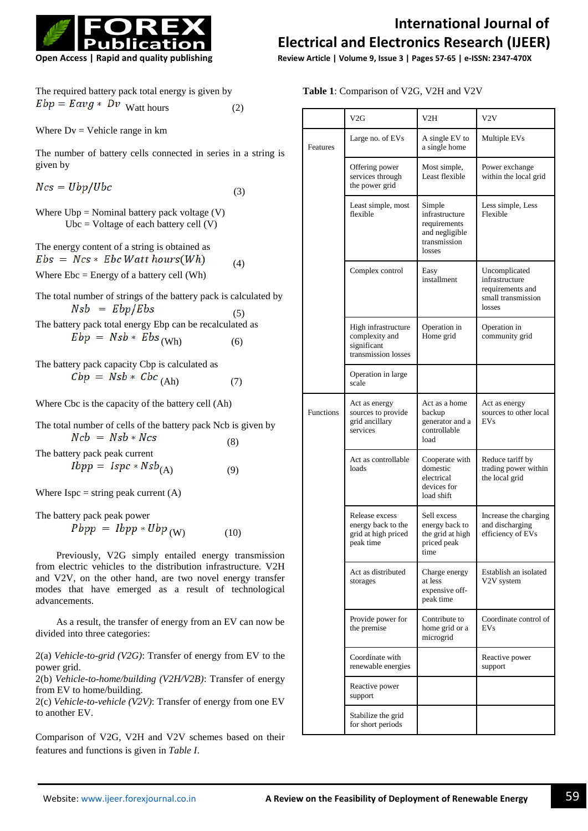

|                              | The required battery pack total energy is given by |     |
|------------------------------|----------------------------------------------------|-----|
| $Ebp = Eavg * Dv$ Watt hours |                                                    | (2) |

Where  $Dv =$  Vehicle range in  $km$ 

The number of battery cells connected in series in a string is given by

 $Ncs = Ubp/Ubc$ (3)

Where  $Ubp = Nominal battery pack voltage (V)$ Ubc = Voltage of each battery cell  $(V)$ 

The energy content of a string is obtained as  $Ebs = Ncs * Ebc Watt hours(Wh)$  (4) Where  $Ebc = Energy$  of a battery cell (Wh)

The total number of strings of the battery pack is calculated by  $Nsb = Ebp/Ebs$  $(5)$ 

The battery pack total energy Ebp can be recalculated as  $Ebp = Nsb * Ebs$  (Wh) (6)

The battery pack capacity Cbp is calculated as  $Cbp = Nsb * Cbc$ <sub>(Ah)</sub> (7)

Where Cbc is the capacity of the battery cell (Ah)

The total number of cells of the battery pack Ncb is given by  $Ncb = Nsb * Ncs$ (8)

The battery pack peak current  $Ibpp = Ispc * Nsb<sub>(A)</sub>$  (9)

Where  $Ispc = string peak current (A)$ 

The battery pack peak power  $Pbpp = Ibpp * Ubp_{(W)}$  (10)

Previously, V2G simply entailed energy transmission from electric vehicles to the distribution infrastructure. V2H and V2V, on the other hand, are two novel energy transfer modes that have emerged as a result of technological advancements.

As a result, the transfer of energy from an EV can now be divided into three categories:

2(a) *Vehicle-to-grid (V2G)*: Transfer of energy from EV to the power grid.

2(b) *Vehicle-to-home/building (V2H/V2B)*: Transfer of energy from EV to home/building.

2(c) *Vehicle-to-vehicle (V2V)*: Transfer of energy from one EV to another EV.

Comparison of V2G, V2H and V2V schemes based on their features and functions is given in *Table I*.

## **International Journal of Electrical and Electronics Research (IJEER)**

**Open Access | Rapid and quality publishing Review Article | Volume 9, Issue 3 | Pages 57-65 | e-ISSN: 2347-470X**

**Table 1**: Comparison of V2G, V2H and V2V

|           | V2G                                                                         | V2H                                                                                  | V2V                                                                                 |
|-----------|-----------------------------------------------------------------------------|--------------------------------------------------------------------------------------|-------------------------------------------------------------------------------------|
| Features  | Large no. of EVs                                                            | A single EV to<br>a single home                                                      | Multiple EVs                                                                        |
|           | Offering power<br>services through<br>the power grid                        | Most simple,<br>Least flexible                                                       | Power exchange<br>within the local grid                                             |
|           | Least simple, most<br>flexible                                              | Simple<br>infrastructure<br>requirements<br>and negligible<br>transmission<br>losses | Less simple, Less<br>Flexible                                                       |
|           | Complex control                                                             | Easy<br>installment                                                                  | Uncomplicated<br>infrastructure<br>requirements and<br>small transmission<br>losses |
|           | High infrastructure<br>complexity and<br>significant<br>transmission losses | Operation in<br>Home grid                                                            | Operation in<br>community grid                                                      |
|           | Operation in large<br>scale                                                 |                                                                                      |                                                                                     |
| Functions | Act as energy<br>sources to provide<br>grid ancillary<br>services           | Act as a home<br>backup<br>generator and a<br>controllable<br>load                   | Act as energy<br>sources to other local<br>EVs                                      |
|           | Act as controllable<br>loads                                                | Cooperate with<br>domestic<br>electrical<br>devices for<br>load shift                | Reduce tariff by<br>trading power within<br>the local grid                          |
|           | Release excess<br>energy back to the<br>grid at high priced<br>peak time    | Sell excess<br>energy back to<br>the grid at high<br>priced peak<br>time             | Increase the charging<br>and discharging<br>efficiency of EVs                       |
|           | Act as distributed<br>storages                                              | Charge energy<br>at less<br>expensive off-<br>peak time                              | Establish an isolated<br>V2V system                                                 |
|           | Provide power for<br>the premise                                            | Contribute to<br>home grid or a<br>microgrid                                         | Coordinate control of<br>EVs                                                        |
|           | Coordinate with<br>renewable energies                                       |                                                                                      | Reactive power<br>support                                                           |
|           | Reactive power<br>support                                                   |                                                                                      |                                                                                     |
|           | Stabilize the grid<br>for short periods                                     |                                                                                      |                                                                                     |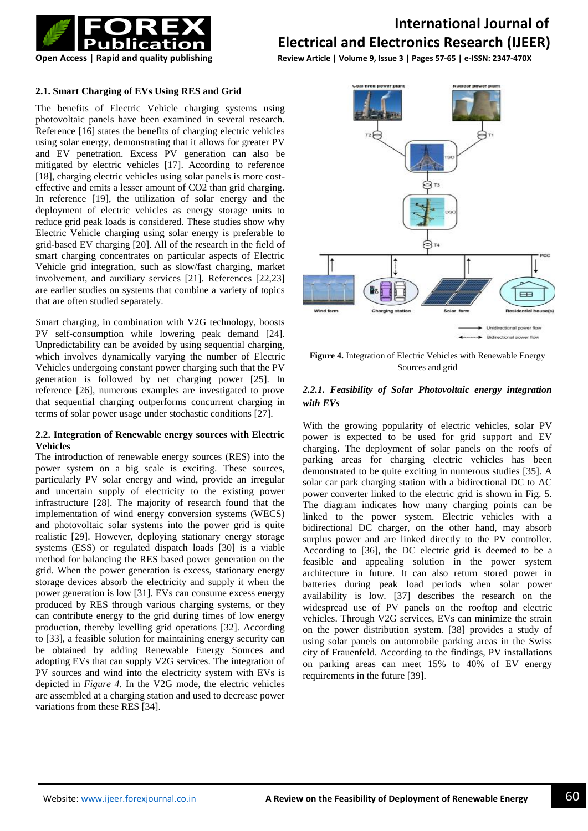

**Open Access | Rapid and quality publishing Review Article | Volume 9, Issue 3 | Pages 57-65 | e-ISSN: 2347-470X**

### **2.1. Smart Charging of EVs Using RES and Grid**

The benefits of Electric Vehicle charging systems using photovoltaic panels have been examined in several research. Reference [16] states the benefits of charging electric vehicles using solar energy, demonstrating that it allows for greater PV and EV penetration. Excess PV generation can also be mitigated by electric vehicles [17]. According to reference [18], charging electric vehicles using solar panels is more costeffective and emits a lesser amount of CO2 than grid charging. In reference [19], the utilization of solar energy and the deployment of electric vehicles as energy storage units to reduce grid peak loads is considered. These studies show why Electric Vehicle charging using solar energy is preferable to grid-based EV charging [20]. All of the research in the field of smart charging concentrates on particular aspects of Electric Vehicle grid integration, such as slow/fast charging, market involvement, and auxiliary services [21]. References [22,23] are earlier studies on systems that combine a variety of topics that are often studied separately.

Smart charging, in combination with V2G technology, boosts PV self-consumption while lowering peak demand [24]. Unpredictability can be avoided by using sequential charging, which involves dynamically varying the number of Electric Vehicles undergoing constant power charging such that the PV generation is followed by net charging power [25]. In reference [26], numerous examples are investigated to prove that sequential charging outperforms concurrent charging in terms of solar power usage under stochastic conditions [27].

### **2.2. Integration of Renewable energy sources with Electric Vehicles**

The introduction of renewable energy sources (RES) into the power system on a big scale is exciting. These sources, particularly PV solar energy and wind, provide an irregular and uncertain supply of electricity to the existing power infrastructure [28]. The majority of research found that the implementation of wind energy conversion systems (WECS) and photovoltaic solar systems into the power grid is quite realistic [29]. However, deploying stationary energy storage systems (ESS) or regulated dispatch loads [30] is a viable method for balancing the RES based power generation on the grid. When the power generation is excess, stationary energy storage devices absorb the electricity and supply it when the power generation is low [31]. EVs can consume excess energy produced by RES through various charging systems, or they can contribute energy to the grid during times of low energy production, thereby levelling grid operations [32]. According to [33], a feasible solution for maintaining energy security can be obtained by adding Renewable Energy Sources and adopting EVs that can supply V2G services. The integration of PV sources and wind into the electricity system with EVs is depicted in *Figure 4*. In the V2G mode, the electric vehicles are assembled at a charging station and used to decrease power variations from these RES [34].



**Figure 4.** Integration of Electric Vehicles with Renewable Energy Sources and grid

### *2.2.1. Feasibility of Solar Photovoltaic energy integration with EVs*

With the growing popularity of electric vehicles, solar PV power is expected to be used for grid support and EV charging. The deployment of solar panels on the roofs of parking areas for charging electric vehicles has been demonstrated to be quite exciting in numerous studies [35]. A solar car park charging station with a bidirectional DC to AC power converter linked to the electric grid is shown in Fig. 5. The diagram indicates how many charging points can be linked to the power system. Electric vehicles with a bidirectional DC charger, on the other hand, may absorb surplus power and are linked directly to the PV controller. According to [36], the DC electric grid is deemed to be a feasible and appealing solution in the power system architecture in future. It can also return stored power in batteries during peak load periods when solar power availability is low. [37] describes the research on the widespread use of PV panels on the rooftop and electric vehicles. Through V2G services, EVs can minimize the strain on the power distribution system. [38] provides a study of using solar panels on automobile parking areas in the Swiss city of Frauenfeld. According to the findings, PV installations on parking areas can meet 15% to 40% of EV energy requirements in the future [39].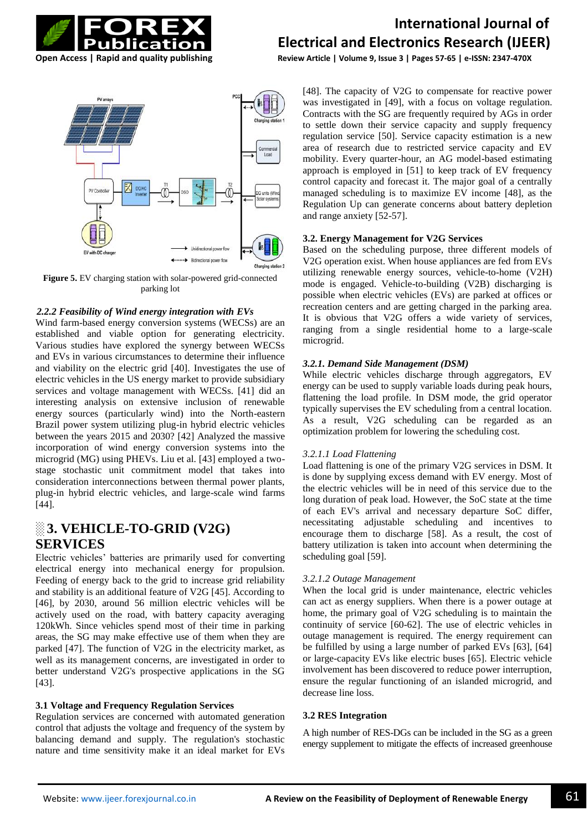



**Figure 5.** EV charging station with solar-powered grid-connected parking lot

### *2.2.2 Feasibility of Wind energy integration with EVs*

Wind farm-based energy conversion systems (WECSs) are an established and viable option for generating electricity. Various studies have explored the synergy between WECSs and EVs in various circumstances to determine their influence and viability on the electric grid [40]. Investigates the use of electric vehicles in the US energy market to provide subsidiary services and voltage management with WECSs. [41] did an interesting analysis on extensive inclusion of renewable energy sources (particularly wind) into the North-eastern Brazil power system utilizing plug-in hybrid electric vehicles between the years 2015 and 2030? [42] Analyzed the massive incorporation of wind energy conversion systems into the microgrid (MG) using PHEVs. Liu et al. [43] employed a twostage stochastic unit commitment model that takes into consideration interconnections between thermal power plants, plug-in hybrid electric vehicles, and large-scale wind farms [44].

## **░ 3. VEHICLE-TO-GRID (V2G) SERVICES**

Electric vehicles' batteries are primarily used for converting electrical energy into mechanical energy for propulsion. Feeding of energy back to the grid to increase grid reliability and stability is an additional feature of V2G [45]. According to [46], by 2030, around 56 million electric vehicles will be actively used on the road, with battery capacity averaging 120kWh. Since vehicles spend most of their time in parking areas, the SG may make effective use of them when they are parked [47]. The function of V2G in the electricity market, as well as its management concerns, are investigated in order to better understand V2G's prospective applications in the SG [43].

### **3.1 Voltage and Frequency Regulation Services**

Regulation services are concerned with automated generation control that adjusts the voltage and frequency of the system by balancing demand and supply. The regulation's stochastic nature and time sensitivity make it an ideal market for EVs

## **International Journal of Electrical and Electronics Research (IJEER)**

**Open Access | Rapid and quality publishing Review Article | Volume 9, Issue 3 | Pages 57-65 | e-ISSN: 2347-470X**

[48]. The capacity of V2G to compensate for reactive power was investigated in [49], with a focus on voltage regulation. Contracts with the SG are frequently required by AGs in order to settle down their service capacity and supply frequency regulation service [50]. Service capacity estimation is a new area of research due to restricted service capacity and EV mobility. Every quarter-hour, an AG model-based estimating approach is employed in [51] to keep track of EV frequency control capacity and forecast it. The major goal of a centrally managed scheduling is to maximize EV income [48], as the Regulation Up can generate concerns about battery depletion and range anxiety [52-57].

## **3.2. Energy Management for V2G Services**

Based on the scheduling purpose, three different models of V2G operation exist. When house appliances are fed from EVs utilizing renewable energy sources, vehicle-to-home (V2H) mode is engaged. Vehicle-to-building (V2B) discharging is possible when electric vehicles (EVs) are parked at offices or recreation centers and are getting charged in the parking area. It is obvious that V2G offers a wide variety of services, ranging from a single residential home to a large-scale microgrid.

### *3.2.1. Demand Side Management (DSM)*

While electric vehicles discharge through aggregators, EV energy can be used to supply variable loads during peak hours, flattening the load profile. In DSM mode, the grid operator typically supervises the EV scheduling from a central location. As a result, V2G scheduling can be regarded as an optimization problem for lowering the scheduling cost.

### *3.2.1.1 Load Flattening*

Load flattening is one of the primary V2G services in DSM. It is done by supplying excess demand with EV energy. Most of the electric vehicles will be in need of this service due to the long duration of peak load. However, the SoC state at the time of each EV's arrival and necessary departure SoC differ, necessitating adjustable scheduling and incentives to encourage them to discharge [58]. As a result, the cost of battery utilization is taken into account when determining the scheduling goal [59].

### *3.2.1.2 Outage Management*

When the local grid is under maintenance, electric vehicles can act as energy suppliers. When there is a power outage at home, the primary goal of V2G scheduling is to maintain the continuity of service [60-62]. The use of electric vehicles in outage management is required. The energy requirement can be fulfilled by using a large number of parked EVs [63], [64] or large-capacity EVs like electric buses [65]. Electric vehicle involvement has been discovered to reduce power interruption, ensure the regular functioning of an islanded microgrid, and decrease line loss.

#### **3.2 RES Integration**

A high number of RES-DGs can be included in the SG as a green energy supplement to mitigate the effects of increased greenhouse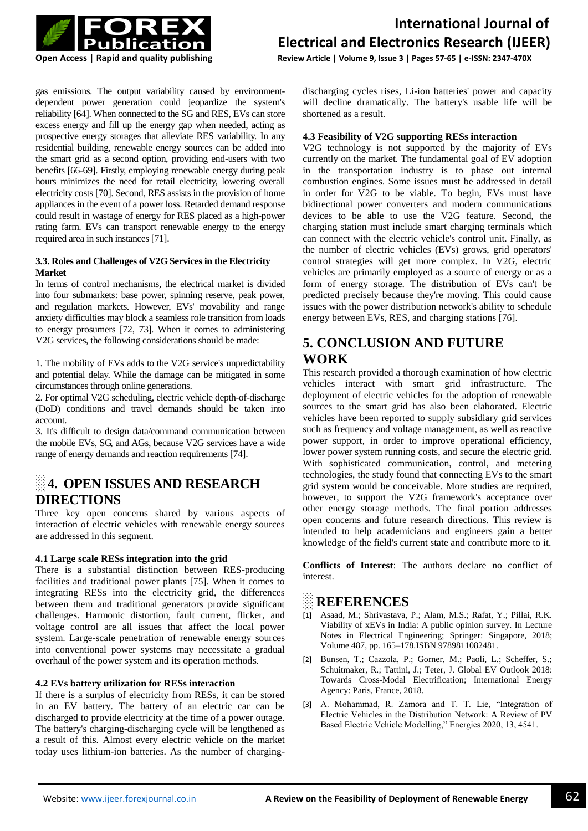

**Open Access | Rapid and quality publishing Review Article | Volume 9, Issue 3 | Pages 57-65 | e-ISSN: 2347-470X**

gas emissions. The output variability caused by environmentdependent power generation could jeopardize the system's reliability [64]. When connected to the SG and RES, EVs can store excess energy and fill up the energy gap when needed, acting as prospective energy storages that alleviate RES variability. In any residential building, renewable energy sources can be added into the smart grid as a second option, providing end-users with two benefits [66-69]. Firstly, employing renewable energy during peak hours minimizes the need for retail electricity, lowering overall electricity costs [70]. Second, RES assists in the provision of home appliances in the event of a power loss. Retarded demand response could result in wastage of energy for RES placed as a high-power rating farm. EVs can transport renewable energy to the energy required area in such instances [71].

### **3.3. Roles and Challenges of V2G Services in the Electricity Market**

In terms of control mechanisms, the electrical market is divided into four submarkets: base power, spinning reserve, peak power, and regulation markets. However, EVs' movability and range anxiety difficulties may block a seamless role transition from loads to energy prosumers [72, 73]. When it comes to administering V2G services, the following considerations should be made:

1. The mobility of EVs adds to the V2G service's unpredictability and potential delay. While the damage can be mitigated in some circumstances through online generations.

2. For optimal V2G scheduling, electric vehicle depth-of-discharge (DoD) conditions and travel demands should be taken into account.

3. It's difficult to design data/command communication between the mobile EVs, SG, and AGs, because V2G services have a wide range of energy demands and reaction requirements [74].

## **░ 4. OPEN ISSUES AND RESEARCH DIRECTIONS**

Three key open concerns shared by various aspects of interaction of electric vehicles with renewable energy sources are addressed in this segment.

### **4.1 Large scale RESs integration into the grid**

There is a substantial distinction between RES-producing facilities and traditional power plants [75]. When it comes to integrating RESs into the electricity grid, the differences between them and traditional generators provide significant challenges. Harmonic distortion, fault current, flicker, and voltage control are all issues that affect the local power system. Large-scale penetration of renewable energy sources into conventional power systems may necessitate a gradual overhaul of the power system and its operation methods.

### **4.2 EVs battery utilization for RESs interaction**

If there is a surplus of electricity from RESs, it can be stored in an EV battery. The battery of an electric car can be discharged to provide electricity at the time of a power outage. The battery's charging-discharging cycle will be lengthened as a result of this. Almost every electric vehicle on the market today uses lithium-ion batteries. As the number of chargingdischarging cycles rises, Li-ion batteries' power and capacity will decline dramatically. The battery's usable life will be shortened as a result.

### **4.3 Feasibility of V2G supporting RESs interaction**

V2G technology is not supported by the majority of EVs currently on the market. The fundamental goal of EV adoption in the transportation industry is to phase out internal combustion engines. Some issues must be addressed in detail in order for V2G to be viable. To begin, EVs must have bidirectional power converters and modern communications devices to be able to use the V2G feature. Second, the charging station must include smart charging terminals which can connect with the electric vehicle's control unit. Finally, as the number of electric vehicles (EVs) grows, grid operators' control strategies will get more complex. In V2G, electric vehicles are primarily employed as a source of energy or as a form of energy storage. The distribution of EVs can't be predicted precisely because they're moving. This could cause issues with the power distribution network's ability to schedule energy between EVs, RES, and charging stations [76].

## **5. CONCLUSION AND FUTURE WORK**

This research provided a thorough examination of how electric vehicles interact with smart grid infrastructure. The deployment of electric vehicles for the adoption of renewable sources to the smart grid has also been elaborated. Electric vehicles have been reported to supply subsidiary grid services such as frequency and voltage management, as well as reactive power support, in order to improve operational efficiency, lower power system running costs, and secure the electric grid. With sophisticated communication, control, and metering technologies, the study found that connecting EVs to the smart grid system would be conceivable. More studies are required, however, to support the V2G framework's acceptance over other energy storage methods. The final portion addresses open concerns and future research directions. This review is intended to help academicians and engineers gain a better knowledge of the field's current state and contribute more to it.

**Conflicts of Interest**: The authors declare no conflict of interest.

## **REFERENCES**

- [1] Asaad, M.; Shrivastava, P.; Alam, M.S.; Rafat, Y.; Pillai, R.K. Viability of xEVs in India: A public opinion survey. In Lecture Notes in Electrical Engineering; Springer: Singapore, 2018; Volume 487, pp. 165–178.ISBN 9789811082481.
- [2] Bunsen, T.; Cazzola, P.; Gorner, M.; Paoli, L.; Scheffer, S.; Schuitmaker, R.; Tattini, J.; Teter, J. Global EV Outlook 2018: Towards Cross-Modal Electrification; International Energy Agency: Paris, France, 2018.
- [3] A. Mohammad, R. Zamora and T. T. Lie, "Integration of Electric Vehicles in the Distribution Network: A Review of PV Based Electric Vehicle Modelling," Energies 2020, 13, 4541.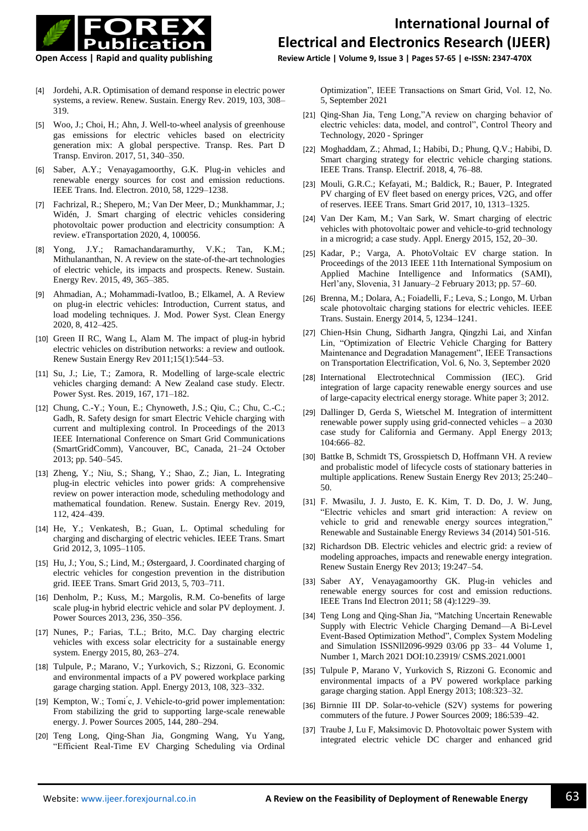

**Open Access | Rapid and quality publishing Review Article | Volume 9, Issue 3 | Pages 57-65 | e-ISSN: 2347-470X**

- [4] Jordehi, A.R. Optimisation of demand response in electric power systems, a review. Renew. Sustain. Energy Rev. 2019, 103, 308– 319.
- [5] Woo, J.; Choi, H.; Ahn, J. Well-to-wheel analysis of greenhouse gas emissions for electric vehicles based on electricity generation mix: A global perspective. Transp. Res. Part D Transp. Environ. 2017, 51, 340–350.
- [6] Saber, A.Y.; Venayagamoorthy, G.K. Plug-in vehicles and renewable energy sources for cost and emission reductions. IEEE Trans. Ind. Electron. 2010, 58, 1229–1238.
- [7] Fachrizal, R.; Shepero, M.; Van Der Meer, D.; Munkhammar, J.; Widén, J. Smart charging of electric vehicles considering photovoltaic power production and electricity consumption: A review. eTransportation 2020, 4, 100056.
- [8] Yong, J.Y.; Ramachandaramurthy, V.K.; Tan, K.M.; Mithulananthan, N. A review on the state-of-the-art technologies of electric vehicle, its impacts and prospects. Renew. Sustain. Energy Rev. 2015, 49, 365–385.
- [9] Ahmadian, A.; Mohammadi-Ivatloo, B.; Elkamel, A. A Review on plug-in electric vehicles: Introduction, Current status, and load modeling techniques. J. Mod. Power Syst. Clean Energy 2020, 8, 412–425.
- [10] Green II RC, Wang L, Alam M. The impact of plug-in hybrid electric vehicles on distribution networks: a review and outlook. Renew Sustain Energy Rev 2011;15(1):544–53.
- [11] Su, J.; Lie, T.; Zamora, R. Modelling of large-scale electric vehicles charging demand: A New Zealand case study. Electr. Power Syst. Res. 2019, 167, 171–182.
- [12] Chung, C.-Y.; Youn, E.; Chynoweth, J.S.; Qiu, C.; Chu, C.-C.; Gadh, R. Safety design for smart Electric Vehicle charging with current and multiplexing control. In Proceedings of the 2013 IEEE International Conference on Smart Grid Communications (SmartGridComm), Vancouver, BC, Canada, 21–24 October 2013; pp. 540–545.
- [13] Zheng, Y.; Niu, S.; Shang, Y.; Shao, Z.; Jian, L. Integrating plug-in electric vehicles into power grids: A comprehensive review on power interaction mode, scheduling methodology and mathematical foundation. Renew. Sustain. Energy Rev. 2019, 112, 424–439.
- [14] He, Y.; Venkatesh, B.; Guan, L. Optimal scheduling for charging and discharging of electric vehicles. IEEE Trans. Smart Grid 2012, 3, 1095–1105.
- [15] Hu, J.; You, S.; Lind, M.; Østergaard, J. Coordinated charging of electric vehicles for congestion prevention in the distribution grid. IEEE Trans. Smart Grid 2013, 5, 703–711.
- [16] Denholm, P.; Kuss, M.; Margolis, R.M. Co-benefits of large scale plug-in hybrid electric vehicle and solar PV deployment. J. Power Sources 2013, 236, 350–356.
- [17] Nunes, P.; Farias, T.L.; Brito, M.C. Day charging electric vehicles with excess solar electricity for a sustainable energy system. Energy 2015, 80, 263–274.
- [18] Tulpule, P.; Marano, V.; Yurkovich, S.; Rizzoni, G. Economic and environmental impacts of a PV powered workplace parking garage charging station. Appl. Energy 2013, 108, 323–332.
- [19] Kempton, W.; Tomi<sup>'</sup>c, J. Vehicle-to-grid power implementation: From stabilizing the grid to supporting large-scale renewable energy. J. Power Sources 2005, 144, 280–294.
- [20] Teng Long, Qing-Shan Jia, Gongming Wang, Yu Yang, "Efficient Real-Time EV Charging Scheduling via Ordinal

Optimization", IEEE Transactions on Smart Grid, Vol. 12, No. 5, September 2021

- [21] Qing-Shan Jia, Teng Long,"A review on charging behavior of electric vehicles: data, model, and control", Control Theory and Technology, 2020 - Springer
- [22] Moghaddam, Z.; Ahmad, I.; Habibi, D.; Phung, Q.V.; Habibi, D. Smart charging strategy for electric vehicle charging stations. IEEE Trans. Transp. Electrif. 2018, 4, 76–88.
- [23] Mouli, G.R.C.; Kefayati, M.; Baldick, R.; Bauer, P. Integrated PV charging of EV fleet based on energy prices, V2G, and offer of reserves. IEEE Trans. Smart Grid 2017, 10, 1313–1325.
- [24] Van Der Kam, M.; Van Sark, W. Smart charging of electric vehicles with photovoltaic power and vehicle-to-grid technology in a microgrid; a case study. Appl. Energy 2015, 152, 20–30.
- [25] Kadar, P.; Varga, A. PhotoVoltaic EV charge station. In Proceedings of the 2013 IEEE 11th International Symposium on Applied Machine Intelligence and Informatics (SAMI), Herl'any, Slovenia, 31 January–2 February 2013; pp. 57–60.
- [26] Brenna, M.; Dolara, A.; Foiadelli, F.; Leva, S.; Longo, M. Urban scale photovoltaic charging stations for electric vehicles. IEEE Trans. Sustain. Energy 2014, 5, 1234–1241.
- [27] Chien-Hsin Chung, Sidharth Jangra, Oingzhi Lai, and Xinfan Lin, "Optimization of Electric Vehicle Charging for Battery Maintenance and Degradation Management", IEEE Transactions on Transportation Electrification, Vol. 6, No. 3, September 2020
- [28] International Electrotechnical Commission (IEC). Grid integration of large capacity renewable energy sources and use of large-capacity electrical energy storage. White paper 3; 2012.
- [29] Dallinger D, Gerda S, Wietschel M. Integration of intermittent renewable power supply using grid-connected vehicles – a 2030 case study for California and Germany. Appl Energy 2013; 104:666–82.
- [30] Battke B, Schmidt TS, Grosspietsch D, Hoffmann VH. A review and probalistic model of lifecycle costs of stationary batteries in multiple applications. Renew Sustain Energy Rev 2013; 25:240– 50.
- [31] F. Mwasilu, J. J. Justo, E. K. Kim, T. D. Do, J. W. Jung, "Electric vehicles and smart grid interaction: A review on vehicle to grid and renewable energy sources integration," Renewable and Sustainable Energy Reviews 34 (2014) 501-516.
- [32] Richardson DB. Electric vehicles and electric grid: a review of modeling approaches, impacts and renewable energy integration. Renew Sustain Energy Rev 2013; 19:247–54.
- [33] Saber AY, Venayagamoorthy GK. Plug-in vehicles and renewable energy sources for cost and emission reductions. IEEE Trans Ind Electron 2011; 58 (4):1229–39.
- [34] Teng Long and Qing-Shan Jia, "Matching Uncertain Renewable Supply with Electric Vehicle Charging Demand—A Bi-Level Event-Based Optimization Method", Complex System Modeling and Simulation ISSNll2096-9929 03/06 pp 33– 44 Volume 1, Number 1, March 2021 DOI:10.23919/ CSMS.2021.0001
- [35] Tulpule P, Marano V, Yurkovich S, Rizzoni G. Economic and environmental impacts of a PV powered workplace parking garage charging station. Appl Energy 2013; 108:323–32.
- [36] Birnnie III DP. Solar-to-vehicle (S2V) systems for powering commuters of the future. J Power Sources 2009; 186:539–42.
- [37] Traube J, Lu F, Maksimovic D. Photovoltaic power System with integrated electric vehicle DC charger and enhanced grid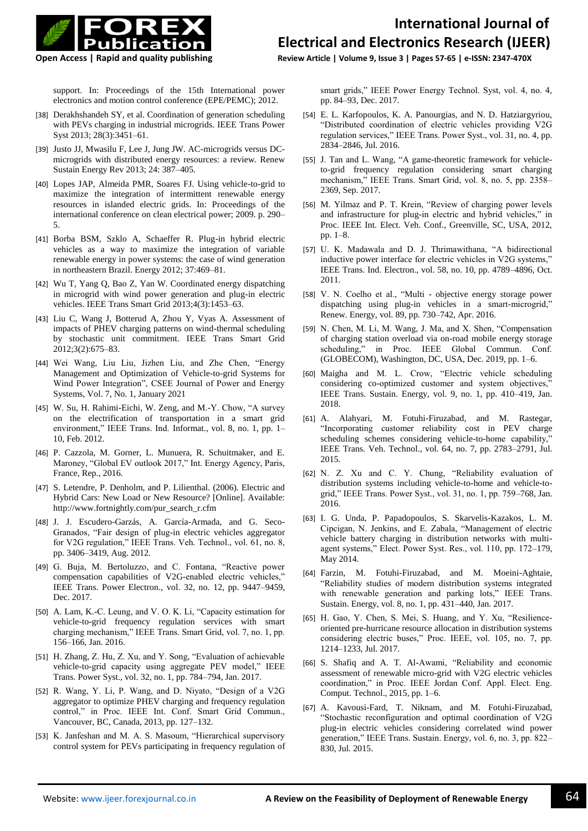

**Open Access | Rapid and quality publishing Review Article | Volume 9, Issue 3 | Pages 57-65 | e-ISSN: 2347-470X**

support. In: Proceedings of the 15th International power electronics and motion control conference (EPE/PEMC); 2012.

- [38] Derakhshandeh SY, et al. Coordination of generation scheduling with PEVs charging in industrial microgrids. IEEE Trans Power Syst 2013; 28(3):3451–61.
- [39] Justo JJ, Mwasilu F, Lee J, Jung JW. AC-microgrids versus DCmicrogrids with distributed energy resources: a review. Renew Sustain Energy Rev 2013; 24: 387–405.
- [40] Lopes JAP, Almeida PMR, Soares FJ. Using vehicle-to-grid to maximize the integration of intermittent renewable energy resources in islanded electric grids. In: Proceedings of the international conference on clean electrical power; 2009. p. 290– 5.
- [41] Borba BSM, Szklo A, Schaeffer R. Plug-in hybrid electric vehicles as a way to maximize the integration of variable renewable energy in power systems: the case of wind generation in northeastern Brazil. Energy 2012; 37:469–81.
- [42] Wu T, Yang Q, Bao Z, Yan W. Coordinated energy dispatching in microgrid with wind power generation and plug-in electric vehicles. IEEE Trans Smart Grid 2013;4(3):1453–63.
- [43] Liu C, Wang J, Botterud A, Zhou Y, Vyas A. Assessment of impacts of PHEV charging patterns on wind-thermal scheduling by stochastic unit commitment. IEEE Trans Smart Grid 2012;3(2):675–83.
- [44] Wei Wang, Liu Liu, Jizhen Liu, and Zhe Chen, "Energy Management and Optimization of Vehicle-to-grid Systems for Wind Power Integration", CSEE Journal of Power and Energy Systems, Vol. 7, No. 1, January 2021
- [45] W. Su, H. Rahimi-Eichi, W. Zeng, and M.-Y. Chow, "A survey on the electrification of transportation in a smart grid environment," IEEE Trans. Ind. Informat., vol. 8, no. 1, pp. 1– 10, Feb. 2012.
- [46] P. Cazzola, M. Gorner, L. Munuera, R. Schuitmaker, and E. Maroney, "Global EV outlook 2017," Int. Energy Agency, Paris, France, Rep., 2016.
- [47] S. Letendre, P. Denholm, and P. Lilienthal. (2006). Electric and Hybrid Cars: New Load or New Resource? [Online]. Available: [http://www.fortnightly.com/pur\\_search\\_r.cfm](http://www.fortnightly.com/pur_search_r.cfm)
- [48] J. J. Escudero-Garzás, A. García-Armada, and G. Seco-Granados, "Fair design of plug-in electric vehicles aggregator for V2G regulation," IEEE Trans. Veh. Technol., vol. 61, no. 8, pp. 3406–3419, Aug. 2012.
- [49] G. Buja, M. Bertoluzzo, and C. Fontana, "Reactive power compensation capabilities of V2G-enabled electric vehicles," IEEE Trans. Power Electron., vol. 32, no. 12, pp. 9447–9459, Dec. 2017.
- [50] A. Lam, K.-C. Leung, and V. O. K. Li, "Capacity estimation for vehicle-to-grid frequency regulation services with smart charging mechanism," IEEE Trans. Smart Grid, vol. 7, no. 1, pp. 156–166, Jan. 2016.
- [51] H. Zhang, Z. Hu, Z. Xu, and Y. Song, "Evaluation of achievable vehicle-to-grid capacity using aggregate PEV model," IEEE Trans. Power Syst., vol. 32, no. 1, pp. 784–794, Jan. 2017.
- [52] R. Wang, Y. Li, P. Wang, and D. Niyato, "Design of a V2G aggregator to optimize PHEV charging and frequency regulation control," in Proc. IEEE Int. Conf. Smart Grid Commun., Vancouver, BC, Canada, 2013, pp. 127–132.
- [53] K. Janfeshan and M. A. S. Masoum, "Hierarchical supervisory control system for PEVs participating in frequency regulation of

smart grids," IEEE Power Energy Technol. Syst, vol. 4, no. 4, pp. 84–93, Dec. 2017.

- [54] E. L. Karfopoulos, K. A. Panourgias, and N. D. Hatziargyriou, "Distributed coordination of electric vehicles providing V2G regulation services," IEEE Trans. Power Syst., vol. 31, no. 4, pp. 2834–2846, Jul. 2016.
- [55] J. Tan and L. Wang, "A game-theoretic framework for vehicleto-grid frequency regulation considering smart charging mechanism," IEEE Trans. Smart Grid, vol. 8, no. 5, pp. 2358– 2369, Sep. 2017.
- [56] M. Yilmaz and P. T. Krein, "Review of charging power levels and infrastructure for plug-in electric and hybrid vehicles," in Proc. IEEE Int. Elect. Veh. Conf., Greenville, SC, USA, 2012, pp. 1–8.
- [57] U. K. Madawala and D. J. Thrimawithana, "A bidirectional inductive power interface for electric vehicles in V2G systems," IEEE Trans. Ind. Electron., vol. 58, no. 10, pp. 4789–4896, Oct. 2011.
- [58] V. N. Coelho et al., "Multi objective energy storage power dispatching using plug-in vehicles in a smart-microgrid," Renew. Energy, vol. 89, pp. 730–742, Apr. 2016.
- [59] N. Chen, M. Li, M. Wang, J. Ma, and X. Shen, "Compensation of charging station overload via on-road mobile energy storage scheduling," in Proc. IEEE Global Commun. Conf. (GLOBECOM), Washington, DC, USA, Dec. 2019, pp. 1–6.
- [60] Maigha and M. L. Crow, "Electric vehicle scheduling considering co-optimized customer and system objectives," IEEE Trans. Sustain. Energy, vol. 9, no. 1, pp. 410–419, Jan. 2018.
- [61] A. Alahyari, M. Fotuhi-Firuzabad, and M. Rastegar, "Incorporating customer reliability cost in PEV charge scheduling schemes considering vehicle-to-home capability," IEEE Trans. Veh. Technol., vol. 64, no. 7, pp. 2783–2791, Jul. 2015.
- [62] N. Z. Xu and C. Y. Chung, "Reliability evaluation of distribution systems including vehicle-to-home and vehicle-togrid," IEEE Trans. Power Syst., vol. 31, no. 1, pp. 759–768, Jan. 2016.
- [63] I. G. Unda, P. Papadopoulos, S. Skarvelis-Kazakos, L. M. Cipcigan, N. Jenkins, and E. Zabala, "Management of electric vehicle battery charging in distribution networks with multiagent systems," Elect. Power Syst. Res., vol. 110, pp. 172–179, May 2014.
- [64] Farzin, M. Fotuhi-Firuzabad, and M. Moeini-Aghtaie, "Reliability studies of modern distribution systems integrated with renewable generation and parking lots," IEEE Trans. Sustain. Energy, vol. 8, no. 1, pp. 431–440, Jan. 2017.
- [65] H. Gao, Y. Chen, S. Mei, S. Huang, and Y. Xu, "Resilienceoriented pre-hurricane resource allocation in distribution systems considering electric buses," Proc. IEEE, vol. 105, no. 7, pp. 1214–1233, Jul. 2017.
- [66] S. Shafiq and A. T. Al-Awami, "Reliability and economic assessment of renewable micro-grid with V2G electric vehicles coordination," in Proc. IEEE Jordan Conf. Appl. Elect. Eng. Comput. Technol., 2015, pp. 1–6.
- [67] A. Kavousi-Fard, T. Niknam, and M. Fotuhi-Firuzabad, "Stochastic reconfiguration and optimal coordination of V2G plug-in electric vehicles considering correlated wind power generation," IEEE Trans. Sustain. Energy, vol. 6, no. 3, pp. 822– 830, Jul. 2015.